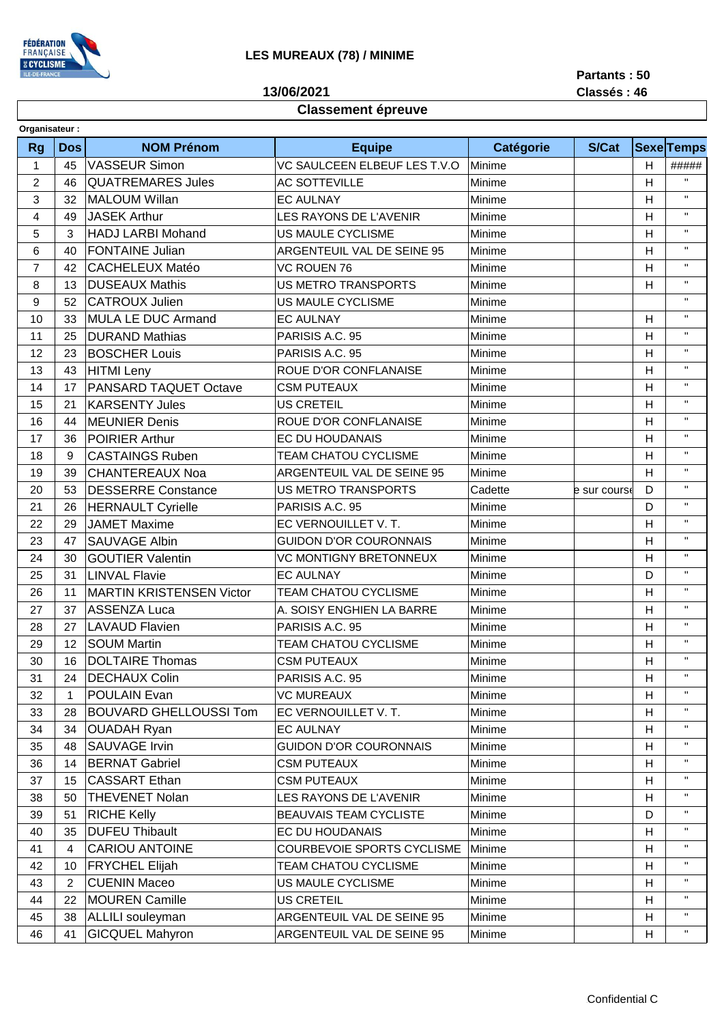

**13/06/2021**

**Partants : 50**

**Classés : 46**

## **Classement épreuve**

| Organisateur:  |                |                                 |                               |           |              |   |                    |  |  |  |  |
|----------------|----------------|---------------------------------|-------------------------------|-----------|--------------|---|--------------------|--|--|--|--|
| <b>Rg</b>      | <b>Dos</b>     | <b>NOM Prénom</b>               | <b>Equipe</b>                 | Catégorie | S/Cat        |   | <b>Sexe Temps</b>  |  |  |  |  |
| 1              | 45             | <b>VASSEUR Simon</b>            | VC SAULCEEN ELBEUF LES T.V.O  | Minime    |              | H | #####              |  |  |  |  |
| $\overline{c}$ | 46             | <b>QUATREMARES Jules</b>        | <b>AC SOTTEVILLE</b>          | Minime    |              | н | $\mathbf{H}$       |  |  |  |  |
| 3              | 32             | <b>MALOUM Willan</b>            | <b>EC AULNAY</b>              | Minime    |              | Η | $\mathbf{H}$       |  |  |  |  |
| 4              | 49             | <b>JASEK Arthur</b>             | <b>LES RAYONS DE L'AVENIR</b> | Minime    |              | Н | $\mathbf{H}$       |  |  |  |  |
| 5              | 3              | <b>HADJ LARBI Mohand</b>        | US MAULE CYCLISME             | Minime    |              | Н | $\mathbf{H}$       |  |  |  |  |
| 6              | 40             | <b>FONTAINE Julian</b>          | ARGENTEUIL VAL DE SEINE 95    | Minime    |              | Н | $\mathbf{H}$       |  |  |  |  |
| $\overline{7}$ | 42             | <b>CACHELEUX Matéo</b>          | <b>VC ROUEN 76</b>            | Minime    |              | H | $\mathbf{H}$       |  |  |  |  |
| 8              | 13             | <b>DUSEAUX Mathis</b>           | <b>US METRO TRANSPORTS</b>    | Minime    |              | Н | $\mathbf{H}$       |  |  |  |  |
| 9              | 52             | <b>CATROUX Julien</b>           | <b>US MAULE CYCLISME</b>      | Minime    |              |   | $\pmb{\mathsf{H}}$ |  |  |  |  |
| 10             | 33             | MULA LE DUC Armand              | <b>EC AULNAY</b>              | Minime    |              | Н | $\mathbf{H}$       |  |  |  |  |
| 11             | 25             | <b>DURAND Mathias</b>           | PARISIS A.C. 95               | Minime    |              | Н | $\mathbf{H}$       |  |  |  |  |
| 12             | 23             | <b>BOSCHER Louis</b>            | PARISIS A.C. 95               | Minime    |              | н | $\mathbf{H}$       |  |  |  |  |
| 13             | 43             | <b>HITMI Leny</b>               | ROUE D'OR CONFLANAISE         | Minime    |              | H | $\mathbf{H}$       |  |  |  |  |
| 14             | 17             | PANSARD TAQUET Octave           | <b>CSM PUTEAUX</b>            | Minime    |              | Н | $\pmb{\mathsf{H}}$ |  |  |  |  |
| 15             | 21             | <b>KARSENTY Jules</b>           | <b>US CRETEIL</b>             | Minime    |              | Η | $\mathbf{H}$       |  |  |  |  |
| 16             | 44             | <b>MEUNIER Denis</b>            | ROUE D'OR CONFLANAISE         | Minime    |              | H | $\mathbf{H}$       |  |  |  |  |
| 17             | 36             | POIRIER Arthur                  | EC DU HOUDANAIS               | Minime    |              | Н | $\mathbf{H}$       |  |  |  |  |
| 18             | 9              | <b>CASTAINGS Ruben</b>          | <b>TEAM CHATOU CYCLISME</b>   | Minime    |              | Η | $\mathbf{H}$       |  |  |  |  |
| 19             | 39             | <b>CHANTEREAUX Noa</b>          | ARGENTEUIL VAL DE SEINE 95    | Minime    |              | H | $\mathbf{H}$       |  |  |  |  |
| 20             | 53             | <b>DESSERRE Constance</b>       | <b>US METRO TRANSPORTS</b>    | Cadette   | e sur course | D | $\pmb{\mathsf{H}}$ |  |  |  |  |
| 21             | 26             | <b>HERNAULT Cyrielle</b>        | PARISIS A.C. 95               | Minime    |              | D | $\mathbf{H}$       |  |  |  |  |
| 22             | 29             | <b>JAMET Maxime</b>             | EC VERNOUILLET V. T.          | Minime    |              | H | $\mathbf{H}$       |  |  |  |  |
| 23             | 47             | <b>SAUVAGE Albin</b>            | <b>GUIDON D'OR COURONNAIS</b> | Minime    |              | Η | $\mathbf{H}$       |  |  |  |  |
| 24             | 30             | <b>GOUTIER Valentin</b>         | <b>VC MONTIGNY BRETONNEUX</b> | Minime    |              | н | $\mathbf{H}$       |  |  |  |  |
| 25             | 31             | <b>LINVAL Flavie</b>            | <b>EC AULNAY</b>              | Minime    |              | D | $\mathbf{H}$       |  |  |  |  |
| 26             | 11             | <b>MARTIN KRISTENSEN Victor</b> | TEAM CHATOU CYCLISME          | Minime    |              | н | $\mathbf{H}$       |  |  |  |  |
| 27             | 37             | <b>ASSENZA Luca</b>             | A. SOISY ENGHIEN LA BARRE     | Minime    |              | Η | $\mathbf{H}$       |  |  |  |  |
| 28             | 27             | <b>LAVAUD Flavien</b>           | PARISIS A.C. 95               | Minime    |              | Н | $\mathbf{H}$       |  |  |  |  |
| 29             | 12             | <b>SOUM Martin</b>              | <b>TEAM CHATOU CYCLISME</b>   | Minime    |              | Н | $\mathbf{H}$       |  |  |  |  |
| 30             | 16             | <b>DOLTAIRE Thomas</b>          | <b>CSM PUTEAUX</b>            | Minime    |              | Η | $\mathbf{H}$       |  |  |  |  |
| 31             | 24             | <b>DECHAUX Colin</b>            | PARISIS A.C. 95               | Minime    |              | H | $\mathbf{H}$       |  |  |  |  |
| 32             |                | POULAIN Evan                    | <b>VC MUREAUX</b>             | Minime    |              | Η | $\mathbf{H}$       |  |  |  |  |
| 33             | 28             | <b>BOUVARD GHELLOUSSI Tom</b>   | EC VERNOUILLET V. T.          | Minime    |              | н | $\mathbf{H}$       |  |  |  |  |
| 34             | 34             | <b>OUADAH Ryan</b>              | <b>EC AULNAY</b>              | Minime    |              | н | $\mathbf{H}$       |  |  |  |  |
| 35             | 48             | SAUVAGE Irvin                   | <b>GUIDON D'OR COURONNAIS</b> | Minime    |              | Η | $\mathbf{H}$       |  |  |  |  |
| 36             | 14             | <b>BERNAT Gabriel</b>           | <b>CSM PUTEAUX</b>            | Minime    |              | н | $\mathbf{H}$       |  |  |  |  |
| 37             | 15             | <b>CASSART Ethan</b>            | <b>CSM PUTEAUX</b>            | Minime    |              | н | $\mathbf{H}$       |  |  |  |  |
| 38             | 50             | <b>THEVENET Nolan</b>           | LES RAYONS DE L'AVENIR        | Minime    |              | Η | $\mathbf{H}$       |  |  |  |  |
| 39             | 51             | <b>RICHE Kelly</b>              | BEAUVAIS TEAM CYCLISTE        | Minime    |              | D | $\mathbf{H}$       |  |  |  |  |
| 40             | 35             | <b>DUFEU Thibault</b>           | EC DU HOUDANAIS               | Minime    |              | н | $\mathbf{H}$       |  |  |  |  |
| 41             | 4              | <b>CARIOU ANTOINE</b>           | COURBEVOIE SPORTS CYCLISME    | Minime    |              | н | $\mathbf{H}$       |  |  |  |  |
| 42             | 10             | <b>FRYCHEL Elijah</b>           | TEAM CHATOU CYCLISME          | Minime    |              | н | $\mathbf{H}$       |  |  |  |  |
| 43             | $\overline{2}$ | <b>CUENIN Maceo</b>             | US MAULE CYCLISME             | Minime    |              | Η | $\mathbf{H}$       |  |  |  |  |
| 44             | 22             | <b>MOUREN Camille</b>           | US CRETEIL                    | Minime    |              | н | $\mathbf{H}$       |  |  |  |  |
| 45             | 38             | ALLILI souleyman                | ARGENTEUIL VAL DE SEINE 95    | Minime    |              | н | $\mathbf H$        |  |  |  |  |
| 46             | 41             | <b>GICQUEL Mahyron</b>          | ARGENTEUIL VAL DE SEINE 95    | Minime    |              | н | $\mathbf{H}$       |  |  |  |  |
|                |                |                                 |                               |           |              |   |                    |  |  |  |  |